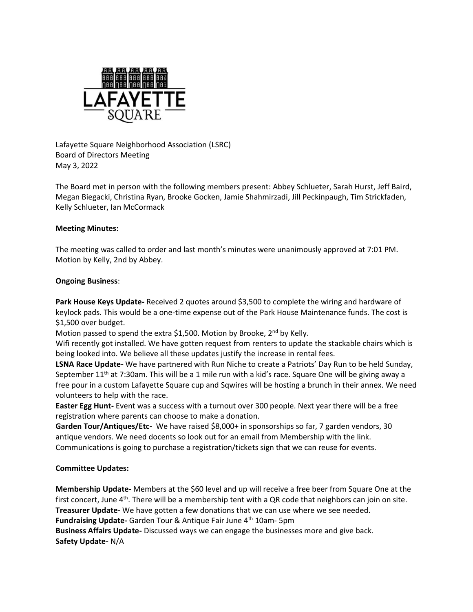

Lafayette Square Neighborhood Association (LSRC) Board of Directors Meeting May 3, 2022

The Board met in person with the following members present: Abbey Schlueter, Sarah Hurst, Jeff Baird, Megan Biegacki, Christina Ryan, Brooke Gocken, Jamie Shahmirzadi, Jill Peckinpaugh, Tim Strickfaden, Kelly Schlueter, Ian McCormack

## **Meeting Minutes:**

The meeting was called to order and last month's minutes were unanimously approved at 7:01 PM. Motion by Kelly, 2nd by Abbey.

## **Ongoing Business**:

**Park House Keys Update-** Received 2 quotes around \$3,500 to complete the wiring and hardware of keylock pads. This would be a one-time expense out of the Park House Maintenance funds. The cost is \$1,500 over budget.

Motion passed to spend the extra \$1,500. Motion by Brooke, 2<sup>nd</sup> by Kelly.

Wifi recently got installed. We have gotten request from renters to update the stackable chairs which is being looked into. We believe all these updates justify the increase in rental fees.

**LSNA Race Update-** We have partnered with Run Niche to create a Patriots' Day Run to be held Sunday, September  $11<sup>th</sup>$  at 7:30am. This will be a 1 mile run with a kid's race. Square One will be giving away a free pour in a custom Lafayette Square cup and Sqwires will be hosting a brunch in their annex. We need volunteers to help with the race.

**Easter Egg Hunt-** Event was a success with a turnout over 300 people. Next year there will be a free registration where parents can choose to make a donation.

**Garden Tour/Antiques/Etc-** We have raised \$8,000+ in sponsorships so far, 7 garden vendors, 30 antique vendors. We need docents so look out for an email from Membership with the link. Communications is going to purchase a registration/tickets sign that we can reuse for events.

## **Committee Updates:**

**Membership Update-** Members at the \$60 level and up will receive a free beer from Square One at the first concert, June  $4<sup>th</sup>$ . There will be a membership tent with a QR code that neighbors can join on site. **Treasurer Update-** We have gotten a few donations that we can use where we see needed. Fundraising Update- Garden Tour & Antique Fair June 4<sup>th</sup> 10am- 5pm **Business Affairs Update-** Discussed ways we can engage the businesses more and give back. **Safety Update-** N/A